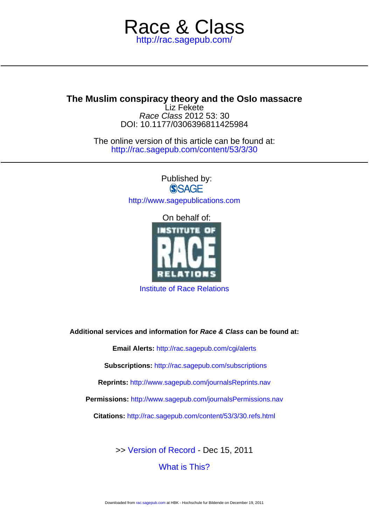# <http://rac.sagepub.com/> Race & Class

# **The Muslim conspiracy theory and the Oslo massacre**

DOI: 10.1177/0306396811425984 Race Class 2012 53: 30 Liz Fekete

<http://rac.sagepub.com/content/53/3/30> The online version of this article can be found at:

> Published by:<br>
> SAGE <http://www.sagepublications.com> On behalf of: **INSTITUTE OF**

[Institute of Race Relations](http://www.irr.org.uk)

**Additional services and information for Race & Class can be found at:**

**Email Alerts:** <http://rac.sagepub.com/cgi/alerts> **Subscriptions:** <http://rac.sagepub.com/subscriptions> **Reprints:** <http://www.sagepub.com/journalsReprints.nav> **Permissions:** <http://www.sagepub.com/journalsPermissions.nav> **Citations:** <http://rac.sagepub.com/content/53/3/30.refs.html>

> [What is This?](http://online.sagepub.com/site/sphelp/vorhelp.xhtml) >> [Version of Record -](http://rac.sagepub.com/content/53/3/30.full.pdf) Dec 15, 2011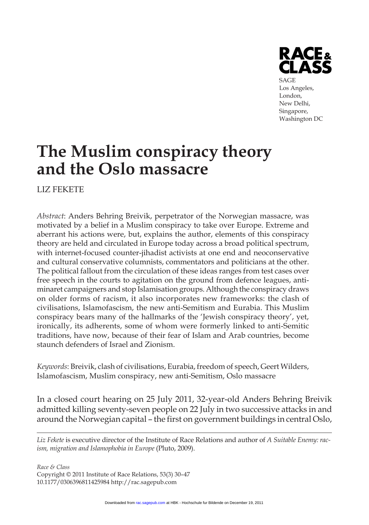

SAGE Los Angeles, London, New Delhi, Singapore, Washington DC

# **The Muslim conspiracy theory and the Oslo massacre**

LIZ FEKETE

*Abstract*: Anders Behring Breivik, perpetrator of the Norwegian massacre, was motivated by a belief in a Muslim conspiracy to take over Europe. Extreme and aberrant his actions were, but, explains the author, elements of this conspiracy theory are held and circulated in Europe today across a broad political spectrum, with internet-focused counter-jihadist activists at one end and neoconservative and cultural conservative columnists, commentators and politicians at the other. The political fallout from the circulation of these ideas ranges from test cases over free speech in the courts to agitation on the ground from defence leagues, antiminaret campaigners and stop Islamisation groups. Although the conspiracy draws on older forms of racism, it also incorporates new frameworks: the clash of civilisations, Islamofascism, the new anti-Semitism and Eurabia. This Muslim conspiracy bears many of the hallmarks of the 'Jewish conspiracy theory', yet, ironically, its adherents, some of whom were formerly linked to anti-Semitic traditions, have now, because of their fear of Islam and Arab countries, become staunch defenders of Israel and Zionism.

*Keywords*: Breivik, clash of civilisations, Eurabia, freedom of speech, Geert Wilders, Islamofascism, Muslim conspiracy, new anti-Semitism, Oslo massacre

In a closed court hearing on 25 July 2011, 32-year-old Anders Behring Breivik admitted killing seventy-seven people on 22 July in two successive attacks in and around the Norwegian capital – the first on government buildings in central Oslo,

*Liz Fekete* is executive director of the Institute of Race Relations and author of *A Suitable Enemy: racism, migration and Islamophobia in Europe* (Pluto, 2009).

*Race & Class*  Copyright © 2011 Institute of Race Relations, 53(3) 30–47 10.1177/0306396811425984 http://rac.sagepub.com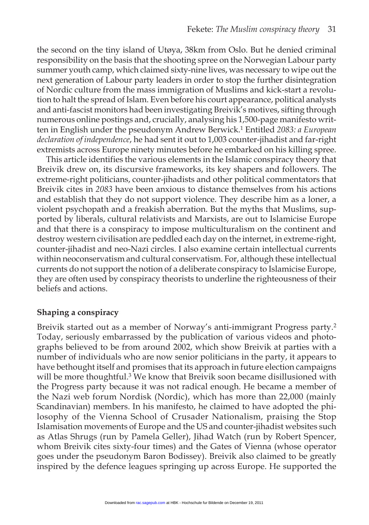the second on the tiny island of Utøya, 38km from Oslo. But he denied criminal responsibility on the basis that the shooting spree on the Norwegian Labour party summer youth camp, which claimed sixty-nine lives, was necessary to wipe out the next generation of Labour party leaders in order to stop the further disintegration of Nordic culture from the mass immigration of Muslims and kick-start a revolution to halt the spread of Islam. Even before his court appearance, political analysts and anti-fascist monitors had been investigating Breivik's motives, sifting through numerous online postings and, crucially, analysing his 1,500-page manifesto written in English under the pseudonym Andrew Berwick.1 Entitled *2083: a European declaration of independence*, he had sent it out to 1,003 counter-jihadist and far-right extremists across Europe ninety minutes before he embarked on his killing spree.

This article identifies the various elements in the Islamic conspiracy theory that Breivik drew on, its discursive frameworks, its key shapers and followers. The extreme-right politicians, counter-jihadists and other political commentators that Breivik cites in *2083* have been anxious to distance themselves from his actions and establish that they do not support violence. They describe him as a loner, a violent psychopath and a freakish aberration. But the myths that Muslims, supported by liberals, cultural relativists and Marxists, are out to Islamicise Europe and that there is a conspiracy to impose multiculturalism on the continent and destroy western civilisation are peddled each day on the internet, in extreme-right, counter-jihadist and neo-Nazi circles. I also examine certain intellectual currents within neoconservatism and cultural conservatism. For, although these intellectual currents do not support the notion of a deliberate conspiracy to Islamicise Europe, they are often used by conspiracy theorists to underline the righteousness of their beliefs and actions.

#### **Shaping a conspiracy**

Breivik started out as a member of Norway's anti-immigrant Progress party.<sup>2</sup> Today, seriously embarrassed by the publication of various videos and photographs believed to be from around 2002, which show Breivik at parties with a number of individuals who are now senior politicians in the party, it appears to have bethought itself and promises that its approach in future election campaigns will be more thoughtful.<sup>3</sup> We know that Breivik soon became disillusioned with the Progress party because it was not radical enough. He became a member of the Nazi web forum Nordisk (Nordic), which has more than 22,000 (mainly Scandinavian) members. In his manifesto, he claimed to have adopted the philosophy of the Vienna School of Crusader Nationalism, praising the Stop Islamisation movements of Europe and the US and counter-jihadist websites such as Atlas Shrugs (run by Pamela Geller), Jihad Watch (run by Robert Spencer, whom Breivik cites sixty-four times) and the Gates of Vienna (whose operator goes under the pseudonym Baron Bodissey). Breivik also claimed to be greatly inspired by the defence leagues springing up across Europe. He supported the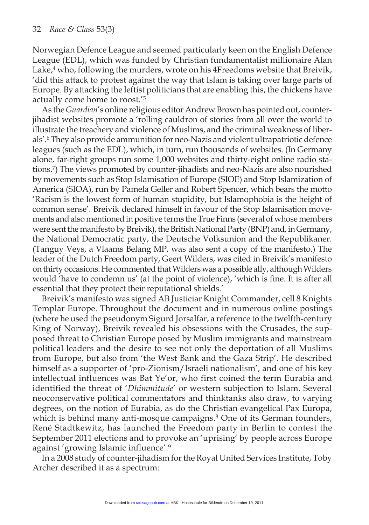Norwegian Defence League and seemed particularly keen on the English Defence League (EDL), which was funded by Christian fundamentalist millionaire Alan Lake,<sup>4</sup> who, following the murders, wrote on his 4Freedoms website that Breivik, 'did this attack to protest against the way that Islam is taking over large parts of Europe. By attacking the leftist politicians that are enabling this, the chickens have actually come home to roost.'5

As the *Guardian*'s online religious editor Andrew Brown has pointed out, counterjihadist websites promote a 'rolling cauldron of stories from all over the world to illustrate the treachery and violence of Muslims, and the criminal weakness of liberals'.6 They also provide ammunition for neo-Nazis and violent ultrapatriotic defence leagues (such as the EDL), which, in turn, run thousands of websites. (In Germany alone, far-right groups run some 1,000 websites and thirty-eight online radio stations.7) The views promoted by counter-jihadists and neo-Nazis are also nourished by movements such as Stop Islamisation of Europe (SIOE) and Stop Islamization of America (SIOA), run by Pamela Geller and Robert Spencer, which bears the motto 'Racism is the lowest form of human stupidity, but Islamophobia is the height of common sense'. Breivik declared himself in favour of the Stop Islamisation movements and also mentioned in positive terms the True Finns (several of whose members were sent the manifesto by Breivik), the British National Party (BNP) and, in Germany, the National Democratic party, the Deutsche Volksunion and the Republikaner. (Tanguy Veys, a Vlaams Belang MP, was also sent a copy of the manifesto.) The leader of the Dutch Freedom party, Geert Wilders, was cited in Breivik's manifesto on thirty occasions. He commented that Wilders was a possible ally, although Wilders would 'have to condemn us' (at the point of violence), 'which is fine. It is after all essential that they protect their reputational shields.'

Breivik's manifesto was signed AB Justiciar Knight Commander, cell 8 Knights Templar Europe. Throughout the document and in numerous online postings (where he used the pseudonym Sigurd Jorsalfar, a reference to the twelfth-century King of Norway), Breivik revealed his obsessions with the Crusades, the supposed threat to Christian Europe posed by Muslim immigrants and mainstream political leaders and the desire to see not only the deportation of all Muslims from Europe, but also from 'the West Bank and the Gaza Strip'. He described himself as a supporter of 'pro-Zionism/Israeli nationalism', and one of his key intellectual influences was Bat Ye'or, who first coined the term Eurabia and identified the threat of '*Dhimmitude*' or western subjection to Islam. Several neoconservative political commentators and thinktanks also draw, to varying degrees, on the notion of Eurabia, as do the Christian evangelical Pax Europa, which is behind many anti-mosque campaigns.<sup>8</sup> One of its German founders, René Stadtkewitz, has launched the Freedom party in Berlin to contest the September 2011 elections and to provoke an 'uprising' by people across Europe against 'growing Islamic influence'.9

In a 2008 study of counter-jihadism for the Royal United Services Institute, Toby Archer described it as a spectrum: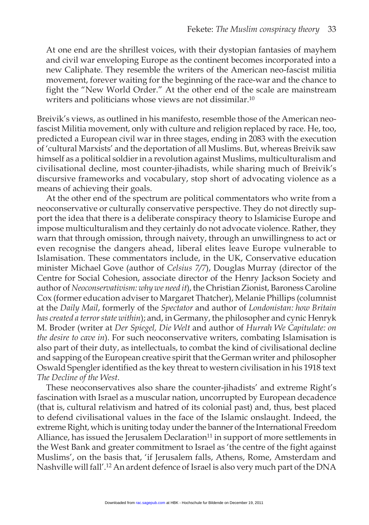At one end are the shrillest voices, with their dystopian fantasies of mayhem and civil war enveloping Europe as the continent becomes incorporated into a new Caliphate. They resemble the writers of the American neo-fascist militia movement, forever waiting for the beginning of the race-war and the chance to fight the "New World Order." At the other end of the scale are mainstream writers and politicians whose views are not dissimilar.<sup>10</sup>

Breivik's views, as outlined in his manifesto, resemble those of the American neofascist Militia movement, only with culture and religion replaced by race. He, too, predicted a European civil war in three stages, ending in 2083 with the execution of 'cultural Marxists' and the deportation of all Muslims. But, whereas Breivik saw himself as a political soldier in a revolution against Muslims, multiculturalism and civilisational decline, most counter-jihadists, while sharing much of Breivik's discursive frameworks and vocabulary, stop short of advocating violence as a means of achieving their goals.

At the other end of the spectrum are political commentators who write from a neoconservative or culturally conservative perspective. They do not directly support the idea that there is a deliberate conspiracy theory to Islamicise Europe and impose multiculturalism and they certainly do not advocate violence. Rather, they warn that through omission, through naivety, through an unwillingness to act or even recognise the dangers ahead, liberal elites leave Europe vulnerable to Islamisation. These commentators include, in the UK, Conservative education minister Michael Gove (author of *Celsius 7/7*), Douglas Murray (director of the Centre for Social Cohesion, associate director of the Henry Jackson Society and author of *Neoconservativism: why we need it*), the Christian Zionist, Baroness Caroline Cox (former education adviser to Margaret Thatcher), Melanie Phillips (columnist at the *Daily Mail*, formerly of the *Spectator* and author of *Londonistan: how Britain has created a terror state within*); and, in Germany, the philosopher and cynic Henryk M. Broder (writer at *Der Spiegel, Die Welt* and author of *Hurrah We Capitulate: on the desire to cave in*). For such neoconservative writers, combating Islamisation is also part of their duty, as intellectuals, to combat the kind of civilisational decline and sapping of the European creative spirit that the German writer and philosopher Oswald Spengler identified as the key threat to western civilisation in his 1918 text *The Decline of the West*.

These neoconservatives also share the counter-jihadists' and extreme Right's fascination with Israel as a muscular nation, uncorrupted by European decadence (that is, cultural relativism and hatred of its colonial past) and, thus, best placed to defend civilisational values in the face of the Islamic onslaught. Indeed, the extreme Right, which is uniting today under the banner of the International Freedom Alliance, has issued the Jerusalem Declaration<sup>11</sup> in support of more settlements in the West Bank and greater commitment to Israel as 'the centre of the fight against Muslims', on the basis that, 'if Jerusalem falls, Athens, Rome, Amsterdam and Nashville will fall'.12 An ardent defence of Israel is also very much part of the DNA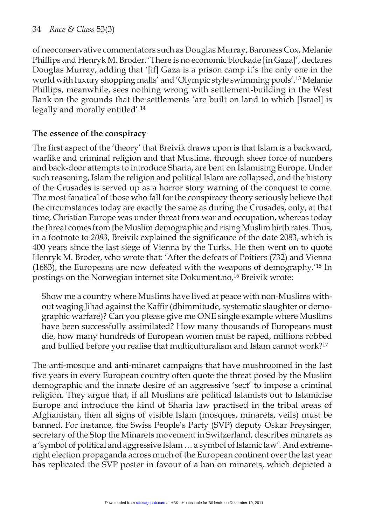of neoconservative commentators such as Douglas Murray, Baroness Cox, Melanie Phillips and Henryk M. Broder. 'There is no economic blockade [in Gaza]', declares Douglas Murray, adding that '[if] Gaza is a prison camp it's the only one in the world with luxury shopping malls' and 'Olympic style swimming pools'.13 Melanie Phillips, meanwhile, sees nothing wrong with settlement-building in the West Bank on the grounds that the settlements 'are built on land to which [Israel] is legally and morally entitled'.14

# **The essence of the conspiracy**

The first aspect of the 'theory' that Breivik draws upon is that Islam is a backward, warlike and criminal religion and that Muslims, through sheer force of numbers and back-door attempts to introduce Sharia, are bent on Islamising Europe. Under such reasoning, Islam the religion and political Islam are collapsed, and the history of the Crusades is served up as a horror story warning of the conquest to come. The most fanatical of those who fall for the conspiracy theory seriously believe that the circumstances today are exactly the same as during the Crusades, only, at that time, Christian Europe was under threat from war and occupation, whereas today the threat comes from the Muslim demographic and rising Muslim birth rates. Thus, in a footnote to *2083*, Breivik explained the significance of the date 2083, which is 400 years since the last siege of Vienna by the Turks. He then went on to quote Henryk M. Broder, who wrote that: 'After the defeats of Poitiers (732) and Vienna (1683), the Europeans are now defeated with the weapons of demography.'15 In postings on the Norwegian internet site Dokument.no,<sup>16</sup> Breivik wrote:

Show me a country where Muslims have lived at peace with non-Muslims without waging Jihad against the Kaffir (dhimmitude, systematic slaughter or demographic warfare)? Can you please give me ONE single example where Muslims have been successfully assimilated? How many thousands of Europeans must die, how many hundreds of European women must be raped, millions robbed and bullied before you realise that multiculturalism and Islam cannot work?17

The anti-mosque and anti-minaret campaigns that have mushroomed in the last five years in every European country often quote the threat posed by the Muslim demographic and the innate desire of an aggressive 'sect' to impose a criminal religion. They argue that, if all Muslims are political Islamists out to Islamicise Europe and introduce the kind of Sharia law practised in the tribal areas of Afghanistan, then all signs of visible Islam (mosques, minarets, veils) must be banned. For instance, the Swiss People's Party (SVP) deputy Oskar Freysinger, secretary of the Stop the Minarets movement in Switzerland, describes minarets as a 'symbol of political and aggressive Islam … a symbol of Islamic law'. And extremeright election propaganda across much of the European continent over the last year has replicated the SVP poster in favour of a ban on minarets, which depicted a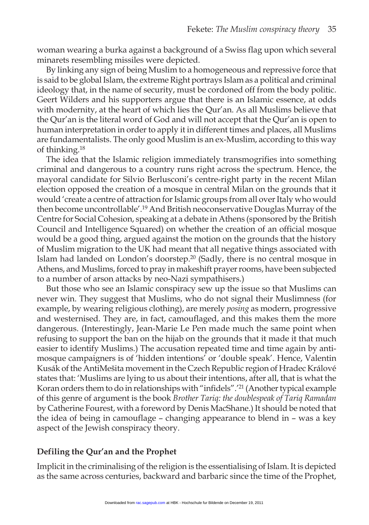woman wearing a burka against a background of a Swiss flag upon which several minarets resembling missiles were depicted.

By linking any sign of being Muslim to a homogeneous and repressive force that is said to be global Islam, the extreme Right portrays Islam as a political and criminal ideology that, in the name of security, must be cordoned off from the body politic. Geert Wilders and his supporters argue that there is an Islamic essence, at odds with modernity, at the heart of which lies the Qur'an. As all Muslims believe that the Qur'an is the literal word of God and will not accept that the Qur'an is open to human interpretation in order to apply it in different times and places, all Muslims are fundamentalists. The only good Muslim is an ex-Muslim, according to this way of thinking.18

The idea that the Islamic religion immediately transmogrifies into something criminal and dangerous to a country runs right across the spectrum. Hence, the mayoral candidate for Silvio Berlusconi's centre-right party in the recent Milan election opposed the creation of a mosque in central Milan on the grounds that it would 'create a centre of attraction for Islamic groups from all over Italy who would then become uncontrollable'.19 And British neoconservative Douglas Murray of the Centre for Social Cohesion, speaking at a debate in Athens (sponsored by the British Council and Intelligence Squared) on whether the creation of an official mosque would be a good thing, argued against the motion on the grounds that the history of Muslim migration to the UK had meant that all negative things associated with Islam had landed on London's doorstep.20 (Sadly, there is no central mosque in Athens, and Muslims, forced to pray in makeshift prayer rooms, have been subjected to a number of arson attacks by neo-Nazi sympathisers.)

But those who see an Islamic conspiracy sew up the issue so that Muslims can never win. They suggest that Muslims, who do not signal their Muslimness (for example, by wearing religious clothing), are merely *posing* as modern, progressive and westernised. They are, in fact, camouflaged, and this makes them the more dangerous. (Interestingly, Jean-Marie Le Pen made much the same point when refusing to support the ban on the hijab on the grounds that it made it that much easier to identify Muslims.) The accusation repeated time and time again by antimosque campaigners is of 'hidden intentions' or 'double speak'. Hence, Valentin Kusák of the AntiMešita movement in the Czech Republic region of Hradec Králové states that: 'Muslims are lying to us about their intentions, after all, that is what the Koran orders them to do in relationships with "infidels".'21 (Another typical example of this genre of argument is the book *Brother Tariq: the doublespeak of Tariq Ramadan* by Catherine Fourest, with a foreword by Denis MacShane.) It should be noted that the idea of being in camouflage – changing appearance to blend in – was a key aspect of the Jewish conspiracy theory.

# **Defiling the Qur'an and the Prophet**

Implicit in the criminalising of the religion is the essentialising of Islam. It is depicted as the same across centuries, backward and barbaric since the time of the Prophet,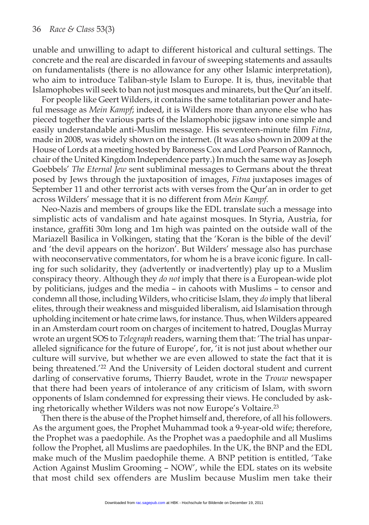unable and unwilling to adapt to different historical and cultural settings. The concrete and the real are discarded in favour of sweeping statements and assaults on fundamentalists (there is no allowance for any other Islamic interpretation), who aim to introduce Taliban-style Islam to Europe. It is, thus, inevitable that Islamophobes will seek to ban not just mosques and minarets, but the Qur'an itself.

For people like Geert Wilders, it contains the same totalitarian power and hateful message as *Mein Kampf*; indeed, it is Wilders more than anyone else who has pieced together the various parts of the Islamophobic jigsaw into one simple and easily understandable anti-Muslim message. His seventeen-minute film *Fitna*, made in 2008, was widely shown on the internet. (It was also shown in 2009 at the House of Lords at a meeting hosted by Baroness Cox and Lord Pearson of Rannoch, chair of the United Kingdom Independence party.) In much the same way as Joseph Goebbels' *The Eternal Jew* sent subliminal messages to Germans about the threat posed by Jews through the juxtaposition of images, *Fitna* juxtaposes images of September 11 and other terrorist acts with verses from the Qur'an in order to get across Wilders' message that it is no different from *Mein Kampf*.

Neo-Nazis and members of groups like the EDL translate such a message into simplistic acts of vandalism and hate against mosques. In Styria, Austria, for instance, graffiti 30m long and 1m high was painted on the outside wall of the Mariazell Basilica in Volkingen, stating that the 'Koran is the bible of the devil' and 'the devil appears on the horizon'. But Wilders' message also has purchase with neoconservative commentators, for whom he is a brave iconic figure. In calling for such solidarity, they (advertently or inadvertently) play up to a Muslim conspiracy theory. Although they *do not* imply that there is a European-wide plot by politicians, judges and the media – in cahoots with Muslims – to censor and condemn all those, including Wilders, who criticise Islam, they *do* imply that liberal elites, through their weakness and misguided liberalism, aid Islamisation through upholding incitement or hate crime laws, for instance. Thus, when Wilders appeared in an Amsterdam court room on charges of incitement to hatred, Douglas Murray wrote an urgent SOS to *Telegraph* readers, warning them that: 'The trial has unparalleled significance for the future of Europe', for, 'it is not just about whether our culture will survive, but whether we are even allowed to state the fact that it is being threatened.'22 And the University of Leiden doctoral student and current darling of conservative forums, Thierry Baudet, wrote in the *Trouw* newspaper that there had been years of intolerance of any criticism of Islam, with sworn opponents of Islam condemned for expressing their views. He concluded by asking rhetorically whether Wilders was not now Europe's Voltaire.23

Then there is the abuse of the Prophet himself and, therefore, of all his followers. As the argument goes, the Prophet Muhammad took a 9-year-old wife; therefore, the Prophet was a paedophile. As the Prophet was a paedophile and all Muslims follow the Prophet, all Muslims are paedophiles. In the UK, the BNP and the EDL make much of the Muslim paedophile theme. A BNP petition is entitled, 'Take Action Against Muslim Grooming – NOW', while the EDL states on its website that most child sex offenders are Muslim because Muslim men take their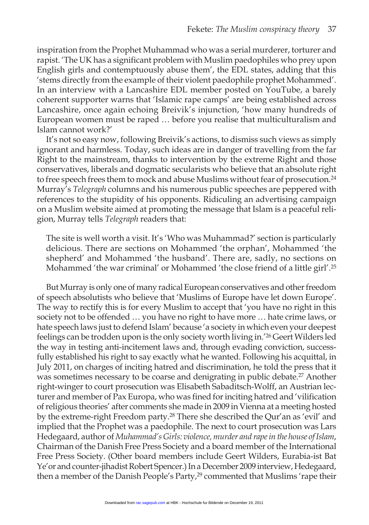inspiration from the Prophet Muhammad who was a serial murderer, torturer and rapist. 'The UK has a significant problem with Muslim paedophiles who prey upon English girls and contemptuously abuse them', the EDL states, adding that this 'stems directly from the example of their violent paedophile prophet Mohammed'. In an interview with a Lancashire EDL member posted on YouTube, a barely coherent supporter warns that 'Islamic rape camps' are being established across Lancashire, once again echoing Breivik's injunction, 'how many hundreds of European women must be raped … before you realise that multiculturalism and Islam cannot work?'

It's not so easy now, following Breivik's actions, to dismiss such views as simply ignorant and harmless. Today, such ideas are in danger of travelling from the far Right to the mainstream, thanks to intervention by the extreme Right and those conservatives, liberals and dogmatic secularists who believe that an absolute right to free speech frees them to mock and abuse Muslims without fear of prosecution.24 Murray's *Telegraph* columns and his numerous public speeches are peppered with references to the stupidity of his opponents. Ridiculing an advertising campaign on a Muslim website aimed at promoting the message that Islam is a peaceful religion, Murray tells *Telegraph* readers that:

The site is well worth a visit. It's 'Who was Muhammad?' section is particularly delicious. There are sections on Mohammed 'the orphan', Mohammed 'the shepherd' and Mohammed 'the husband'. There are, sadly, no sections on Mohammed 'the war criminal' or Mohammed 'the close friend of a little girl'.25

But Murray is only one of many radical European conservatives and other freedom of speech absolutists who believe that 'Muslims of Europe have let down Europe'. The way to rectify this is for every Muslim to accept that 'you have no right in this society not to be offended … you have no right to have more … hate crime laws, or hate speech laws just to defend Islam' because 'a society in which even your deepest feelings can be trodden upon is the only society worth living in.'26 Geert Wilders led the way in testing anti-incitement laws and, through evading conviction, successfully established his right to say exactly what he wanted. Following his acquittal, in July 2011, on charges of inciting hatred and discrimination, he told the press that it was sometimes necessary to be coarse and denigrating in public debate.<sup>27</sup> Another right-winger to court prosecution was Elisabeth Sabaditsch-Wolff, an Austrian lecturer and member of Pax Europa, who was fined for inciting hatred and 'vilification of religious theories' after comments she made in 2009 in Vienna at a meeting hosted by the extreme-right Freedom party.28 There she described the Qur'an as 'evil' and implied that the Prophet was a paedophile. The next to court prosecution was Lars Hedegaard, author of *Muhammad's Girls: violence, murder and rape in the house of Islam*, Chairman of the Danish Free Press Society and a board member of the International Free Press Society. (Other board members include Geert Wilders, Eurabia-ist Bat Ye'or and counter-jihadist Robert Spencer.) In a December 2009 interview, Hedegaard, then a member of the Danish People's Party,29 commented that Muslims 'rape their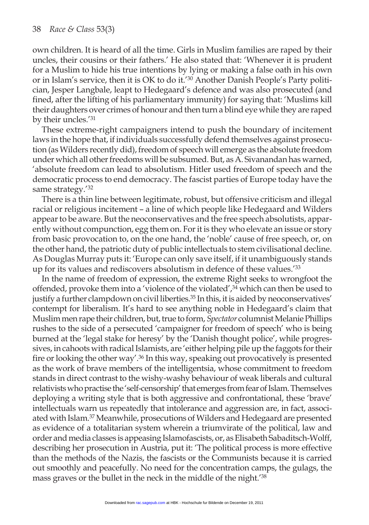own children. It is heard of all the time. Girls in Muslim families are raped by their uncles, their cousins or their fathers.' He also stated that: 'Whenever it is prudent for a Muslim to hide his true intentions by lying or making a false oath in his own or in Islam's service, then it is OK to do it.'30 Another Danish People's Party politician, Jesper Langbale, leapt to Hedegaard's defence and was also prosecuted (and fined, after the lifting of his parliamentary immunity) for saying that: 'Muslims kill their daughters over crimes of honour and then turn a blind eye while they are raped by their uncles.'31

These extreme-right campaigners intend to push the boundary of incitement laws in the hope that, if individuals successfully defend themselves against prosecution (as Wilders recently did), freedom of speech will emerge as the absolute freedom under which all other freedoms will be subsumed. But, as A. Sivanandan has warned, 'absolute freedom can lead to absolutism. Hitler used freedom of speech and the democratic process to end democracy. The fascist parties of Europe today have the same strategy.'32

There is a thin line between legitimate, robust, but offensive criticism and illegal racial or religious incitement – a line of which people like Hedegaard and Wilders appear to be aware. But the neoconservatives and the free speech absolutists, apparently without compunction, egg them on. For it is they who elevate an issue or story from basic provocation to, on the one hand, the 'noble' cause of free speech, or, on the other hand, the patriotic duty of public intellectuals to stem civilisational decline. As Douglas Murray puts it: 'Europe can only save itself, if it unambiguously stands up for its values and rediscovers absolutism in defence of these values.'33

In the name of freedom of expression, the extreme Right seeks to wrongfoot the offended, provoke them into a 'violence of the violated',34 which can then be used to justify a further clampdown on civil liberties.35 In this, it is aided by neoconservatives' contempt for liberalism. It's hard to see anything noble in Hedegaard's claim that Muslim men rape their children, but, true to form, *Spectator* columnist Melanie Phillips rushes to the side of a persecuted 'campaigner for freedom of speech' who is being burned at the 'legal stake for heresy' by the 'Danish thought police', while progressives, in cahoots with radical Islamists, are 'either helping pile up the faggots for their fire or looking the other way'.36 In this way, speaking out provocatively is presented as the work of brave members of the intelligentsia, whose commitment to freedom stands in direct contrast to the wishy-washy behaviour of weak liberals and cultural relativists who practise the 'self-censorship' that emerges from fear of Islam. Themselves deploying a writing style that is both aggressive and confrontational, these 'brave' intellectuals warn us repeatedly that intolerance and aggression are, in fact, associated with Islam.37 Meanwhile, prosecutions of Wilders and Hedegaard are presented as evidence of a totalitarian system wherein a triumvirate of the political, law and order and media classes is appeasing Islamofascists, or, as Elisabeth Sabaditsch-Wolff, describing her prosecution in Austria, put it: 'The political process is more effective than the methods of the Nazis, the fascists or the Communists because it is carried out smoothly and peacefully. No need for the concentration camps, the gulags, the mass graves or the bullet in the neck in the middle of the night.'38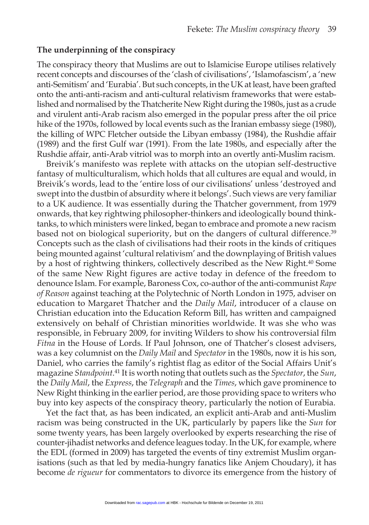#### **The underpinning of the conspiracy**

The conspiracy theory that Muslims are out to Islamicise Europe utilises relatively recent concepts and discourses of the 'clash of civilisations', 'Islamofascism', a 'new anti-Semitism' and 'Eurabia'. But such concepts, in the UK at least, have been grafted onto the anti-anti-racism and anti-cultural relativism frameworks that were established and normalised by the Thatcherite New Right during the 1980s, just as a crude and virulent anti-Arab racism also emerged in the popular press after the oil price hike of the 1970s, followed by local events such as the Iranian embassy siege (1980), the killing of WPC Fletcher outside the Libyan embassy (1984), the Rushdie affair (1989) and the first Gulf war (1991). From the late 1980s, and especially after the Rushdie affair, anti-Arab vitriol was to morph into an overtly anti-Muslim racism.

Breivik's manifesto was replete with attacks on the utopian self-destructive fantasy of multiculturalism, which holds that all cultures are equal and would, in Breivik's words, lead to the 'entire loss of our civilisations' unless 'destroyed and swept into the dustbin of absurdity where it belongs'. Such views are very familiar to a UK audience. It was essentially during the Thatcher government, from 1979 onwards, that key rightwing philosopher-thinkers and ideologically bound thinktanks, to which ministers were linked, began to embrace and promote a new racism based not on biological superiority, but on the dangers of cultural difference.39 Concepts such as the clash of civilisations had their roots in the kinds of critiques being mounted against 'cultural relativism' and the downplaying of British values by a host of rightwing thinkers, collectively described as the New Right.40 Some of the same New Right figures are active today in defence of the freedom to denounce Islam. For example, Baroness Cox, co-author of the anti-communist *Rape of Reason* against teaching at the Polytechnic of North London in 1975, adviser on education to Margaret Thatcher and the *Daily Mail*, introducer of a clause on Christian education into the Education Reform Bill, has written and campaigned extensively on behalf of Christian minorities worldwide. It was she who was responsible, in February 2009, for inviting Wilders to show his controversial film *Fitna* in the House of Lords. If Paul Johnson, one of Thatcher's closest advisers, was a key columnist on the *Daily Mail* and *Spectator* in the 1980s, now it is his son, Daniel, who carries the family's rightist flag as editor of the Social Affairs Unit's magazine *Standpoint*. 41 It is worth noting that outlets such as the *Spectator*, the *Sun*, the *Daily Mail*, the *Express*, the *Telegraph* and the *Times*, which gave prominence to New Right thinking in the earlier period, are those providing space to writers who buy into key aspects of the conspiracy theory, particularly the notion of Eurabia.

Yet the fact that, as has been indicated, an explicit anti-Arab and anti-Muslim racism was being constructed in the UK, particularly by papers like the *Sun* for some twenty years, has been largely overlooked by experts researching the rise of counter-jihadist networks and defence leagues today. In the UK, for example, where the EDL (formed in 2009) has targeted the events of tiny extremist Muslim organisations (such as that led by media-hungry fanatics like Anjem Choudary), it has become *de rigueur* for commentators to divorce its emergence from the history of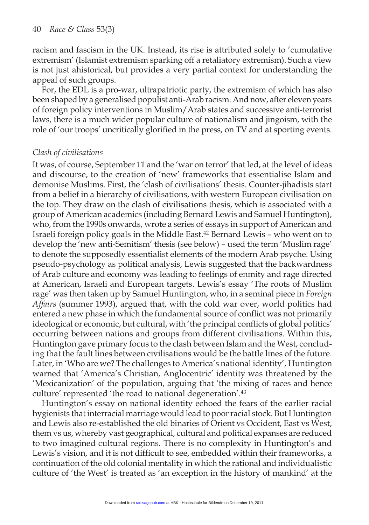racism and fascism in the UK. Instead, its rise is attributed solely to 'cumulative extremism' (Islamist extremism sparking off a retaliatory extremism). Such a view is not just ahistorical, but provides a very partial context for understanding the appeal of such groups.

For, the EDL is a pro-war, ultrapatriotic party, the extremism of which has also been shaped by a generalised populist anti-Arab racism. And now, after eleven years of foreign policy interventions in Muslim/Arab states and successive anti-terrorist laws, there is a much wider popular culture of nationalism and jingoism, with the role of 'our troops' uncritically glorified in the press, on TV and at sporting events.

### *Clash of civilisations*

It was, of course, September 11 and the 'war on terror' that led, at the level of ideas and discourse, to the creation of 'new' frameworks that essentialise Islam and demonise Muslims. First, the 'clash of civilisations' thesis. Counter-jihadists start from a belief in a hierarchy of civilisations, with western European civilisation on the top. They draw on the clash of civilisations thesis, which is associated with a group of American academics (including Bernard Lewis and Samuel Huntington), who, from the 1990s onwards, wrote a series of essays in support of American and Israeli foreign policy goals in the Middle East.42 Bernard Lewis – who went on to develop the 'new anti-Semitism' thesis (see below) – used the term 'Muslim rage' to denote the supposedly essentialist elements of the modern Arab psyche. Using pseudo-psychology as political analysis, Lewis suggested that the backwardness of Arab culture and economy was leading to feelings of enmity and rage directed at American, Israeli and European targets. Lewis's essay 'The roots of Muslim rage' was then taken up by Samuel Huntington, who, in a seminal piece in *Foreign Affairs* (summer 1993), argued that, with the cold war over, world politics had entered a new phase in which the fundamental source of conflict was not primarily ideological or economic, but cultural, with 'the principal conflicts of global politics' occurring between nations and groups from different civilisations. Within this, Huntington gave primary focus to the clash between Islam and the West, concluding that the fault lines between civilisations would be the battle lines of the future. Later, in 'Who are we? The challenges to America's national identity', Huntington warned that 'America's Christian, Anglocentric' identity was threatened by the 'Mexicanization' of the population, arguing that 'the mixing of races and hence culture' represented 'the road to national degeneration'.43

Huntington's essay on national identity echoed the fears of the earlier racial hygienists that interracial marriage would lead to poor racial stock. But Huntington and Lewis also re-established the old binaries of Orient vs Occident, East vs West, them vs us, whereby vast geographical, cultural and political expanses are reduced to two imagined cultural regions. There is no complexity in Huntington's and Lewis's vision, and it is not difficult to see, embedded within their frameworks, a continuation of the old colonial mentality in which the rational and individualistic culture of 'the West' is treated as 'an exception in the history of mankind' at the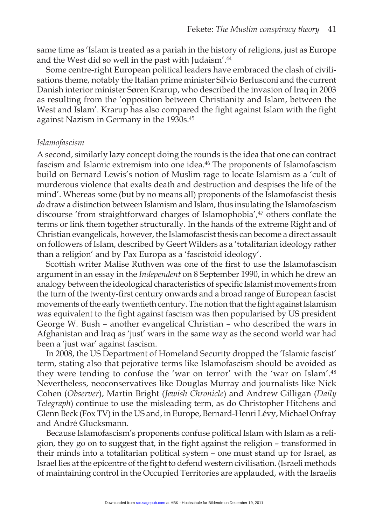same time as 'Islam is treated as a pariah in the history of religions, just as Europe and the West did so well in the past with Judaism'.44

Some centre-right European political leaders have embraced the clash of civilisations theme, notably the Italian prime minister Silvio Berlusconi and the current Danish interior minister Søren Krarup, who described the invasion of Iraq in 2003 as resulting from the 'opposition between Christianity and Islam, between the West and Islam'. Krarup has also compared the fight against Islam with the fight against Nazism in Germany in the 1930s.45

#### *Islamofascism*

A second, similarly lazy concept doing the rounds is the idea that one can contract fascism and Islamic extremism into one idea.<sup>46</sup> The proponents of Islamofascism build on Bernard Lewis's notion of Muslim rage to locate Islamism as a 'cult of murderous violence that exalts death and destruction and despises the life of the mind'. Whereas some (but by no means all) proponents of the Islamofascist thesis *do* draw a distinction between Islamism and Islam, thus insulating the Islamofascism discourse 'from straightforward charges of Islamophobia',<sup>47</sup> others conflate the terms or link them together structurally. In the hands of the extreme Right and of Christian evangelicals, however, the Islamofascist thesis can become a direct assault on followers of Islam, described by Geert Wilders as a 'totalitarian ideology rather than a religion' and by Pax Europa as a 'fascistoid ideology'.

Scottish writer Malise Ruthven was one of the first to use the Islamofascism argument in an essay in the *Independent* on 8 September 1990, in which he drew an analogy between the ideological characteristics of specific Islamist movements from the turn of the twenty-first century onwards and a broad range of European fascist movements of the early twentieth century. The notion that the fight against Islamism was equivalent to the fight against fascism was then popularised by US president George W. Bush – another evangelical Christian – who described the wars in Afghanistan and Iraq as 'just' wars in the same way as the second world war had been a 'just war' against fascism.

In 2008, the US Department of Homeland Security dropped the 'Islamic fascist' term, stating also that pejorative terms like Islamofascism should be avoided as they were tending to confuse the 'war on terror' with the 'war on Islam'.48 Nevertheless, neoconservatives like Douglas Murray and journalists like Nick Cohen (*Observer*), Martin Bright (*Jewish Chronicle*) and Andrew Gilligan (*Daily Telegraph*) continue to use the misleading term, as do Christopher Hitchens and Glenn Beck (Fox TV) in the US and, in Europe, Bernard-Henri Lévy, Michael Onfray and André Glucksmann.

Because Islamofascism's proponents confuse political Islam with Islam as a religion, they go on to suggest that, in the fight against the religion – transformed in their minds into a totalitarian political system – one must stand up for Israel, as Israel lies at the epicentre of the fight to defend western civilisation. (Israeli methods of maintaining control in the Occupied Territories are applauded, with the Israelis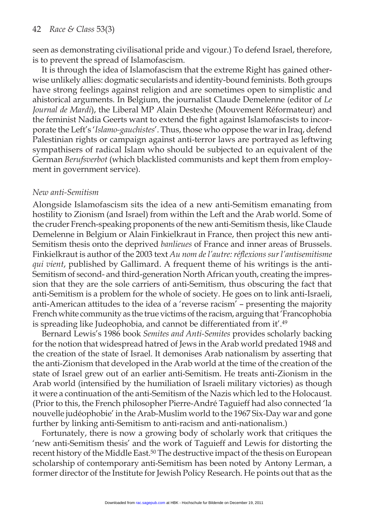seen as demonstrating civilisational pride and vigour.) To defend Israel, therefore, is to prevent the spread of Islamofascism.

It is through the idea of Islamofascism that the extreme Right has gained otherwise unlikely allies: dogmatic secularists and identity-bound feminists. Both groups have strong feelings against religion and are sometimes open to simplistic and ahistorical arguments. In Belgium, the journalist Claude Demelenne (editor of *Le Journal de Mardi*), the Liberal MP Alain Destexhe (Mouvement Réformateur) and the feminist Nadia Geerts want to extend the fight against Islamofascists to incorporate the Left's '*Islamo-gauchistes*'. Thus, those who oppose the war in Iraq, defend Palestinian rights or campaign against anti-terror laws are portrayed as leftwing sympathisers of radical Islam who should be subjected to an equivalent of the German *Berufsverbot* (which blacklisted communists and kept them from employment in government service).

#### *New anti-Semitism*

Alongside Islamofascism sits the idea of a new anti-Semitism emanating from hostility to Zionism (and Israel) from within the Left and the Arab world. Some of the cruder French-speaking proponents of the new anti-Semitism thesis, like Claude Demelenne in Belgium or Alain Finkielkraut in France, then project this new anti-Semitism thesis onto the deprived *banlieues* of France and inner areas of Brussels. Finkielkraut is author of the 2003 text *Au nom de l'autre: réflexions sur l'antisemitisme qui vient*, published by Gallimard. A frequent theme of his writings is the anti-Semitism of second- and third-generation North African youth, creating the impression that they are the sole carriers of anti-Semitism, thus obscuring the fact that anti-Semitism is a problem for the whole of society. He goes on to link anti-Israeli, anti-American attitudes to the idea of a 'reverse racism' – presenting the majority French white community as the true victims of the racism, arguing that 'Francophobia is spreading like Judeophobia, and cannot be differentiated from it'.49

Bernard Lewis's 1986 book *Semites and Anti-Semites* provides scholarly backing for the notion that widespread hatred of Jews in the Arab world predated 1948 and the creation of the state of Israel. It demonises Arab nationalism by asserting that the anti-Zionism that developed in the Arab world at the time of the creation of the state of Israel grew out of an earlier anti-Semitism. He treats anti-Zionism in the Arab world (intensified by the humiliation of Israeli military victories) as though it were a continuation of the anti-Semitism of the Nazis which led to the Holocaust. (Prior to this, the French philosopher Pierre-André Taguieff had also connected 'la nouvelle judéophobie' in the Arab-Muslim world to the 1967 Six-Day war and gone further by linking anti-Semitism to anti-racism and anti-nationalism.)

Fortunately, there is now a growing body of scholarly work that critiques the 'new anti-Semitism thesis' and the work of Taguieff and Lewis for distorting the recent history of the Middle East.50 The destructive impact of the thesis on European scholarship of contemporary anti-Semitism has been noted by Antony Lerman, a former director of the Institute for Jewish Policy Research. He points out that as the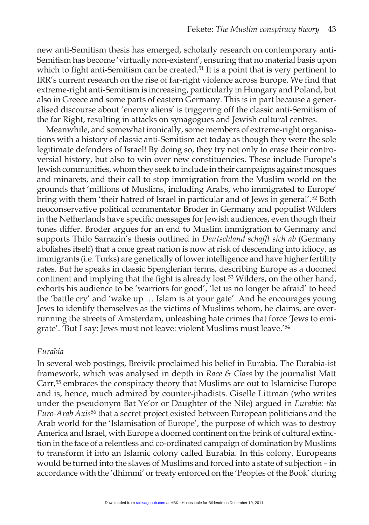new anti-Semitism thesis has emerged, scholarly research on contemporary anti-Semitism has become 'virtually non-existent', ensuring that no material basis upon which to fight anti-Semitism can be created.<sup>51</sup> It is a point that is very pertinent to IRR's current research on the rise of far-right violence across Europe. We find that extreme-right anti-Semitism is increasing, particularly in Hungary and Poland, but also in Greece and some parts of eastern Germany. This is in part because a generalised discourse about 'enemy aliens' is triggering off the classic anti-Semitism of the far Right, resulting in attacks on synagogues and Jewish cultural centres.

Meanwhile, and somewhat ironically, some members of extreme-right organisations with a history of classic anti-Semitism act today as though they were the sole legitimate defenders of Israel! By doing so, they try not only to erase their controversial history, but also to win over new constituencies. These include Europe's Jewish communities, whom they seek to include in their campaigns against mosques and minarets, and their call to stop immigration from the Muslim world on the grounds that 'millions of Muslims, including Arabs, who immigrated to Europe' bring with them 'their hatred of Israel in particular and of Jews in general'.52 Both neoconservative political commentator Broder in Germany and populist Wilders in the Netherlands have specific messages for Jewish audiences, even though their tones differ. Broder argues for an end to Muslim immigration to Germany and supports Thilo Sarrazin's thesis outlined in *Deutschland schafft sich ab* (Germany abolishes itself) that a once great nation is now at risk of descending into idiocy, as immigrants (i.e. Turks) are genetically of lower intelligence and have higher fertility rates. But he speaks in classic Spenglerian terms, describing Europe as a doomed continent and implying that the fight is already lost.<sup>53</sup> Wilders, on the other hand, exhorts his audience to be 'warriors for good', 'let us no longer be afraid' to heed the 'battle cry' and 'wake up … Islam is at your gate'. And he encourages young Jews to identify themselves as the victims of Muslims whom, he claims, are overrunning the streets of Amsterdam, unleashing hate crimes that force 'Jews to emigrate'. 'But I say: Jews must not leave: violent Muslims must leave.'54

#### *Eurabia*

In several web postings, Breivik proclaimed his belief in Eurabia. The Eurabia-ist framework, which was analysed in depth in *Race & Class* by the journalist Matt Carr,<sup>55</sup> embraces the conspiracy theory that Muslims are out to Islamicise Europe and is, hence, much admired by counter-jihadists. Giselle Littman (who writes under the pseudonym Bat Ye'or or Daughter of the Nile) argued in *Eurabia: the Euro-Arab Axis*56 that a secret project existed between European politicians and the Arab world for the 'Islamisation of Europe', the purpose of which was to destroy America and Israel, with Europe a doomed continent on the brink of cultural extinction in the face of a relentless and co-ordinated campaign of domination by Muslims to transform it into an Islamic colony called Eurabia. In this colony, Europeans would be turned into the slaves of Muslims and forced into a state of subjection – in accordance with the 'dhimmi' or treaty enforced on the 'Peoples of the Book' during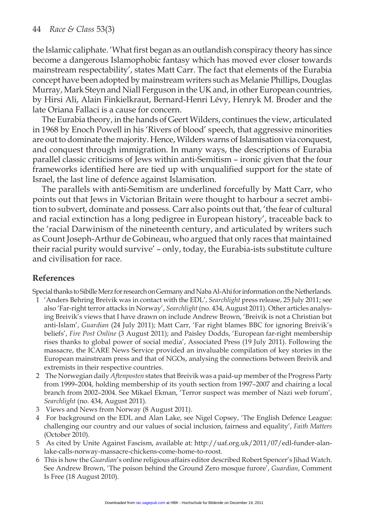the Islamic caliphate. 'What first began as an outlandish conspiracy theory has since become a dangerous Islamophobic fantasy which has moved ever closer towards mainstream respectability', states Matt Carr. The fact that elements of the Eurabia concept have been adopted by mainstream writers such as Melanie Phillips, Douglas Murray, Mark Steyn and Niall Ferguson in the UK and, in other European countries, by Hirsi Ali, Alain Finkielkraut, Bernard-Henri Lévy, Henryk M. Broder and the late Oriana Fallaci is a cause for concern.

The Eurabia theory, in the hands of Geert Wilders, continues the view, articulated in 1968 by Enoch Powell in his 'Rivers of blood' speech, that aggressive minorities are out to dominate the majority. Hence, Wilders warns of Islamisation via conquest, and conquest through immigration. In many ways, the descriptions of Eurabia parallel classic criticisms of Jews within anti-Semitism – ironic given that the four frameworks identified here are tied up with unqualified support for the state of Israel, the last line of defence against Islamisation.

The parallels with anti-Semitism are underlined forcefully by Matt Carr, who points out that Jews in Victorian Britain were thought to harbour a secret ambition to subvert, dominate and possess. Carr also points out that, 'the fear of cultural and racial extinction has a long pedigree in European history', traceable back to the 'racial Darwinism of the nineteenth century, and articulated by writers such as Count Joseph-Arthur de Gobineau, who argued that only races that maintained their racial purity would survive' – only, today, the Eurabia-ists substitute culture and civilisation for race.

# **References**

Special thanks to Sibille Merz for research on Germany and Naba Al-Ahi for information on the Netherlands.

- 1 'Anders Behring Breivik was in contact with the EDL', *Searchlight* press release, 25 July 2011; see also 'Far-right terror attacks in Norway', *Searchlight* (no. 434, August 2011). Other articles analysing Breivik's views that I have drawn on include Andrew Brown, 'Breivik is not a Christian but anti-Islam', *Guardian* (24 July 2011); Matt Carr, 'Far right blames BBC for ignoring Breivik's beliefs', *Fire Post Online* (3 August 2011); and Paisley Dodds, 'European far-right membership rises thanks to global power of social media', Associated Press (19 July 2011). Following the massacre, the ICARE News Service provided an invaluable compilation of key stories in the European mainstream press and that of NGOs, analysing the connections between Breivik and extremists in their respective countries.
- 2 The Norwegian daily *Aftenposten* states that Breivik was a paid-up member of the Progress Party from 1999–2004, holding membership of its youth section from 1997–2007 and chairing a local branch from 2002–2004. See Mikael Ekman, 'Terror suspect was member of Nazi web forum', *Searchlight* (no. 434, August 2011).
- 3 Views and News from Norway (8 August 2011).
- 4 For background on the EDL and Alan Lake, see Nigel Copsey, 'The English Defence League: challenging our country and our values of social inclusion, fairness and equality', *Faith Matters* (October 2010).
- 5 As cited by Unite Against Fascism, available at: http://uaf.org.uk/2011/07/edl-funder-alanlake-calls-norway-massacre-chickens-come-home-to-roost.
- 6 This is how the *Guardian*'s online religious affairs editor described Robert Spencer's Jihad Watch. See Andrew Brown, 'The poison behind the Ground Zero mosque furore', *Guardian*, Comment Is Free (18 August 2010).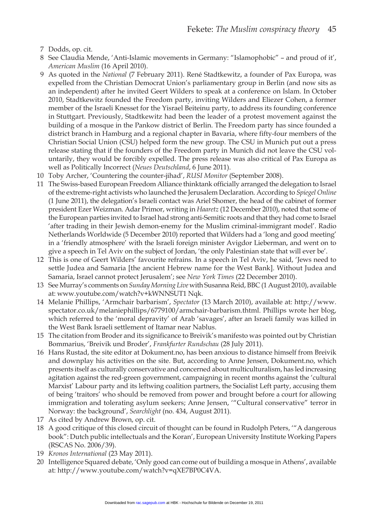7 Dodds, op. cit.

- 8 See Claudia Mende, 'Anti-Islamic movements in Germany: "Islamophobic" and proud of it', *American Muslim* (16 April 2010).
- 9 As quoted in the *National* (7 February 2011). René Stadtkewitz, a founder of Pax Europa, was expelled from the Christian Democrat Union's parliamentary group in Berlin (and now sits as an independent) after he invited Geert Wilders to speak at a conference on Islam. In October 2010, Stadtkewitz founded the Freedom party, inviting Wilders and Eliezer Cohen, a former member of the Israeli Knesset for the Yisrael Beiteinu party, to address its founding conference in Stuttgart. Previously, Stadtkewitz had been the leader of a protest movement against the building of a mosque in the Pankow district of Berlin. The Freedom party has since founded a district branch in Hamburg and a regional chapter in Bavaria, where fifty-four members of the Christian Social Union (CSU) helped form the new group. The CSU in Munich put out a press release stating that if the founders of the Freedom party in Munich did not leave the CSU voluntarily, they would be forcibly expelled. The press release was also critical of Pax Europa as well as Politically Incorrect (*Neues Deutschland*, 6 June 2011).
- 10 Toby Archer, 'Countering the counter-jihad', *RUSI Monitor* (September 2008).
- 11 The Swiss-based European Freedom Alliance thinktank officially arranged the delegation to Israel of the extreme-right activists who launched the Jerusalem Declaration. According to *Spiegel Online* (1 June 2011), the delegation's Israeli contact was Ariel Shomer, the head of the cabinet of former president Ezer Weizman. Adar Primor, writing in *Haaretz* (12 December 2010), noted that some of the European parties invited to Israel had strong anti-Semitic roots and that they had come to Israel 'after trading in their Jewish demon-enemy for the Muslim criminal-immigrant model'. Radio Netherlands Worldwide (5 December 2010) reported that Wilders had a 'long and good meeting' in a 'friendly atmosphere' with the Israeli foreign minister Avigdor Lieberman, and went on to give a speech in Tel Aviv on the subject of Jordan, 'the only Palestinian state that will ever be'.
- 12 This is one of Geert Wilders' favourite refrains. In a speech in Tel Aviv, he said, 'Jews need to settle Judea and Samaria [the ancient Hebrew name for the West Bank]. Without Judea and Samaria, Israel cannot protect Jerusalem'; see *New York Times* (22 December 2010).
- 13 See Murray's comments on *Sunday Morning Live* with Susanna Reid, BBC (1 August 2010), available at: www.youtube.com/watch?v+kWNNSUT1 Nqk.
- 14 Melanie Phillips, 'Armchair barbarism', *Spectator* (13 March 2010), available at: http://www. spectator.co.uk/melaniephillips/6779100/armchair-barbarism.thtml. Phillips wrote her blog, which referred to the 'moral depravity' of Arab 'savages', after an Israeli family was killed in the West Bank Israeli settlement of Itamar near Nablus.
- 15 The citation from Broder and its significance to Breivik's manifesto was pointed out by Christian Bommarius, 'Breivik und Broder', *Frankfurter Rundschau* (28 July 2011).
- 16 Hans Rustad, the site editor at Dokument.no, has been anxious to distance himself from Breivik and downplay his activities on the site. But, according to Anne Jensen, Dokument.no, which presents itself as culturally conservative and concerned about multiculturalism, has led increasing agitation against the red-green government, campaigning in recent months against the 'cultural Marxist' Labour party and its leftwing coalition partners, the Socialist Left party, accusing them of being 'traitors' who should be removed from power and brought before a court for allowing immigration and tolerating asylum seekers; Anne Jensen, '"Cultural conservative" terror in Norway: the background', *Searchlight* (no. 434, August 2011).
- 17 As cited by Andrew Brown, op. cit.
- 18 A good critique of this closed circuit of thought can be found in Rudolph Peters, '"A dangerous book": Dutch public intellectuals and the Koran', European University Institute Working Papers (RSCAS No. 2006/39).
- 19 *Kronos International* (23 May 2011).
- 20 Intelligence Squared debate, 'Only good can come out of building a mosque in Athens', available at: http://www.youtube.com/watch?v=qXE7BP0C4VA.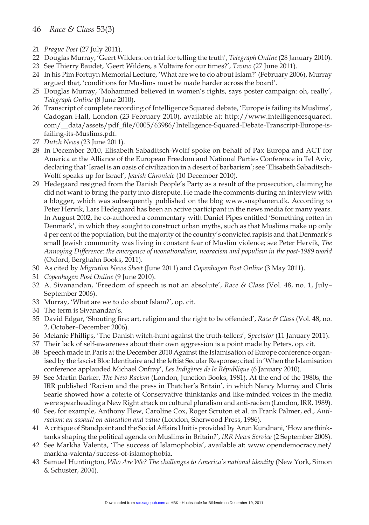- 21 *Prague Post* (27 July 2011).
- 22 Douglas Murray, 'Geert Wilders: on trial for telling the truth', *Telegraph Online* (28 January 2010).
- 23 See Thierry Baudet, 'Geert Wilders, a Voltaire for our times?', *Trouw* (27 June 2011).
- 24 In his Pim Fortuyn Memorial Lecture, 'What are we to do about Islam?' (February 2006), Murray argued that, 'conditions for Muslims must be made harder across the board'.
- 25 Douglas Murray, 'Mohammed believed in women's rights, says poster campaign: oh, really', *Telegraph Online* (8 June 2010).
- 26 Transcript of complete recording of Intelligence Squared debate, 'Europe is failing its Muslims', Cadogan Hall, London (23 February 2010), available at: http://www.intelligencesquared. com/\_\_data/assets/pdf\_file/0005/63986/Intelligence-Squared-Debate-Transcript-Europe-isfailing-its-Muslims.pdf.
- 27 *Dutch News* (23 June 2011).
- 28 In December 2010, Elisabeth Sabaditsch-Wolff spoke on behalf of Pax Europa and ACT for America at the Alliance of the European Freedom and National Parties Conference in Tel Aviv, declaring that 'Israel is an oasis of civilization in a desert of barbarism'; see 'Elisabeth Sabaditsch-Wolff speaks up for Israel', *Jewish Chronicle* (10 December 2010).
- 29 Hedegaard resigned from the Danish People's Party as a result of the prosecution, claiming he did not want to bring the party into disrepute. He made the comments during an interview with a blogger, which was subsequently published on the blog www.snaphanen.dk. According to Peter Hervik, Lars Hedegaard has been an active participant in the news media for many years. In August 2002, he co-authored a commentary with Daniel Pipes entitled 'Something rotten in Denmark', in which they sought to construct urban myths, such as that Muslims make up only 4 per cent of the population, but the majority of the country's convicted rapists and that Denmark's small Jewish community was living in constant fear of Muslim violence; see Peter Hervik, *The Annoying Difference: the emergence of neonationalism, neoracism and populism in the post-1989 world* (Oxford, Berghahn Books, 2011).
- 30 As cited by *Migration News Sheet* (June 2011) and *Copenhagen Post Online* (3 May 2011).
- 31 *Copenhagen Post Online* (9 June 2010).
- 32 A. Sivanandan, 'Freedom of speech is not an absolute', *Race & Class* (Vol. 48, no. 1, July– September 2006).
- 33 Murray, 'What are we to do about Islam?', op. cit.
- 34 The term is Sivanandan's.
- 35 David Edgar, 'Shouting fire: art, religion and the right to be offended', *Race & Class* (Vol. 48, no. 2, October–December 2006).
- 36 Melanie Phillips, 'The Danish witch-hunt against the truth-tellers', *Spectator* (11 January 2011).
- 37 Their lack of self-awareness about their own aggression is a point made by Peters, op. cit.
- 38 Speech made in Paris at the December 2010 Against the Islamisation of Europe conference organised by the fascist Bloc Identitaire and the leftist Secular Response; cited in 'When the Islamisation conference applauded Michael Onfray', *Les Indigènes de la République* (6 January 2010).
- 39 See Martin Barker, *The New Racism* (London, Junction Books, 1981). At the end of the 1980s, the IRR published 'Racism and the press in Thatcher's Britain', in which Nancy Murray and Chris Searle showed how a coterie of Conservative thinktanks and like-minded voices in the media were spearheading a New Right attack on cultural pluralism and anti-racism (London, IRR, 1989).
- 40 See, for example, Anthony Flew, Caroline Cox, Roger Scruton et al. in Frank Palmer, ed., *Antiracism: an assault on education and value* (London, Sherwood Press, 1986).
- 41 A critique of Standpoint and the Social Affairs Unit is provided by Arun Kundnani, 'How are thinktanks shaping the political agenda on Muslims in Britain?', *IRR News Service* (2 September 2008).
- 42 See Markha Valenta, 'The success of Islamophobia', available at: www.opendemocracy.net/ markha-valenta/success-of-islamophobia.
- 43 Samuel Huntington, *Who Are We? The challenges to America's national identity* (New York, Simon & Schuster, 2004).